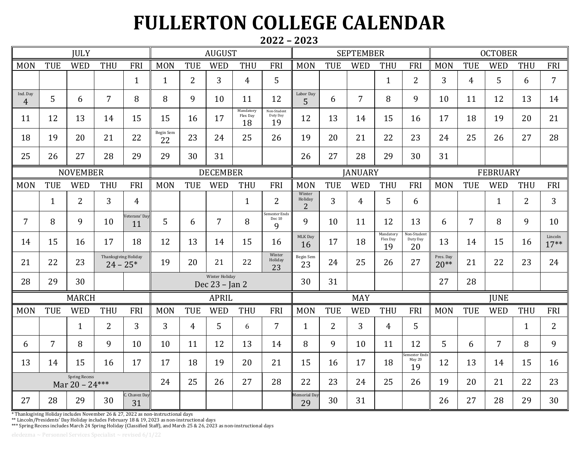## **FULLERTON COLLEGE CALENDAR**

## **2022 – 2023**

| <b>JULY</b>                              |                |                |                      | <b>AUGUST</b>         |                                  |                |                | <b>SEPTEMBER</b>            |                               |                                     |                | <b>OCTOBER</b>  |                             |                               |                     |                |                |                |                    |
|------------------------------------------|----------------|----------------|----------------------|-----------------------|----------------------------------|----------------|----------------|-----------------------------|-------------------------------|-------------------------------------|----------------|-----------------|-----------------------------|-------------------------------|---------------------|----------------|----------------|----------------|--------------------|
| <b>MON</b>                               | <b>TUE</b>     | <b>WED</b>     | <b>THU</b>           | FRI                   | <b>MON</b>                       | <b>TUE</b>     | <b>WED</b>     | <b>THU</b>                  | <b>FRI</b>                    | <b>MON</b>                          | <b>TUE</b>     | <b>WED</b>      | <b>THU</b>                  | <b>FRI</b>                    | <b>MON</b>          | TUE            | <b>WED</b>     | <b>THU</b>     | FRI                |
|                                          |                |                |                      | $\mathbf{1}$          | $\mathbf{1}$                     | $\overline{2}$ | $\overline{3}$ | $\overline{4}$              | 5                             |                                     |                |                 | $\mathbf{1}$                | $\overline{2}$                | 3                   | $\overline{4}$ | 5              | 6              | $\overline{7}$     |
| Ind. Day<br>$\overline{4}$               | 5              | 6              | $\overline{7}$       | 8                     | 8                                | 9              | 10             | 11                          | 12                            | Labor Day<br>$\overline{5}$         | 6              | $\overline{7}$  | 8                           | 9                             | 10                  | 11             | 12             | 13             | 14                 |
| 11                                       | 12             | 13             | 14                   | 15                    | 15                               | 16             | 17             | Mandatory<br>Flex Day<br>18 | Non-Student<br>Duty Day<br>19 | 12                                  | 13             | 14              | 15                          | 16                            | 17                  | 18             | 19             | 20             | 21                 |
| 18                                       | 19             | 20             | 21                   | 22                    | <b>Begin Sem</b><br>22           | 23             | 24             | 25                          | 26                            | 19                                  | 20             | 21              | 22                          | 23                            | 24                  | 25             | 26             | 27             | 28                 |
| 25                                       | 26             | 27             | 28                   | 29                    | 29                               | 30             | 31             |                             |                               | 26                                  | 27             | 28              | 29                          | 30                            | 31                  |                |                |                |                    |
| <b>NOVEMBER</b>                          |                |                |                      | <b>DECEMBER</b>       |                                  |                |                | <b>JANUARY</b>              |                               |                                     |                | <b>FEBRUARY</b> |                             |                               |                     |                |                |                |                    |
| <b>MON</b>                               | <b>TUE</b>     | <b>WED</b>     | <b>THU</b>           | FRI                   | <b>MON</b>                       | <b>TUE</b>     | <b>WED</b>     | <b>THU</b>                  | FRI                           | <b>MON</b>                          | <b>TUE</b>     | <b>WED</b>      | <b>THU</b>                  | <b>FRI</b>                    | <b>MON</b>          | TUE            | <b>WED</b>     | THU            | FRI                |
|                                          | $\mathbf{1}$   | $\overline{2}$ | $\overline{3}$       | $\overline{4}$        |                                  |                |                | $\mathbf{1}$                | 2                             | Winter<br>Holiday<br>$\overline{2}$ | $\overline{3}$ | $\overline{4}$  | 5                           | 6                             |                     |                | $\mathbf{1}$   | $\overline{2}$ | 3                  |
| $\overline{7}$                           | 8              | 9              | 10                   | eterans' Day<br>11    | $5\overline{)}$                  | 6              | $\overline{7}$ | 8                           | Semester Ends<br>Dec 10<br>9  | 9                                   | 10             | 11              | 12                          | 13                            | 6                   | $\overline{7}$ | 8              | 9              | 10                 |
| 14                                       | 15             | 16             | 17                   | 18                    | 12                               | 13             | 14             | 15                          | 16                            | MLK Day<br>16                       | 17             | 18              | Mandatory<br>Flex Day<br>19 | Non-Student<br>Duty Day<br>20 | 13                  | 14             | 15             | 16             | Lincoln<br>$17***$ |
| 21                                       | 22             | 23             | Thanksgiving Holiday | $24 - 25*$            | 19                               | 20             | 21             | 22                          | Winter<br>Holiday<br>23       | Begin Sem<br>23                     | 24             | 25              | 26                          | 27                            | Pres. Day<br>$20**$ | 21             | 22             | 23             | 24                 |
| 28                                       | 29             | 30             |                      |                       | Winter Holiday<br>Dec 23 - Jan 2 |                |                | 30                          | 31                            |                                     |                |                 | 27                          | 28                            |                     |                |                |                |                    |
| <b>MARCH</b>                             |                |                |                      | <b>APRIL</b>          |                                  |                |                | <b>MAY</b>                  |                               |                                     |                | <b>IUNE</b>     |                             |                               |                     |                |                |                |                    |
| <b>MON</b>                               | <b>TUE</b>     | <b>WED</b>     | <b>THU</b>           | FRI                   | <b>MON</b>                       | <b>TUE</b>     | <b>WED</b>     | <b>THU</b>                  | FRI                           | <b>MON</b>                          | <b>TUE</b>     | <b>WED</b>      | <b>THU</b>                  | <b>FRI</b>                    | <b>MON</b>          | <b>TUE</b>     | <b>WED</b>     | <b>THU</b>     | FRI                |
|                                          |                | $\mathbf{1}$   | $\overline{2}$       | $\overline{3}$        | $\overline{3}$                   | $\overline{4}$ | 5              | 6                           | $\overline{7}$                | $\mathbf{1}$                        | $\overline{2}$ | $\overline{3}$  | $\overline{4}$              | 5                             |                     |                |                | $\mathbf{1}$   | $\overline{2}$     |
| 6                                        | $\overline{7}$ | 8              | 9                    | 10                    | 10                               | 11             | 12             | 13                          | 14                            | 8                                   | 9              | 10              | 11                          | 12                            | 5                   | 6              | $\overline{7}$ | 8              | 9                  |
| 13                                       | 14             | 15             | 16                   | 17                    | 17                               | 18             | 19             | 20                          | 21                            | 15                                  | 16             | 17              | 18                          | mester Ends<br>May 20<br>19   | 12                  | 13             | 14             | 15             | 16                 |
| <b>Spring Recess</b><br>Mar $20 - 24***$ |                |                |                      | 24                    | 25                               | 26             | 27             | 28                          | 22                            | 23                                  | 24             | 25              | 26                          | 19                            | 20                  | 21             | 22             | 23             |                    |
| 27                                       | 28             | 29             | 30                   | .<br>Chavez Day<br>31 |                                  |                |                |                             |                               | Memorial Day<br>29                  | 30             | 31              |                             |                               | 26                  | 27             | 28             | 29             | 30                 |

\* Thanksgiving Holiday includes November 26 & 27, 2022 as non-instructional days

\*\* Lincoln/Presidents' Day Holiday includes February 18 & 19, 2023 as non-instructional days

\*\*\* Spring Recess includes March 24 Spring Holiday (Classified Staff), and March 25 & 26, 2023 as non-instructional days